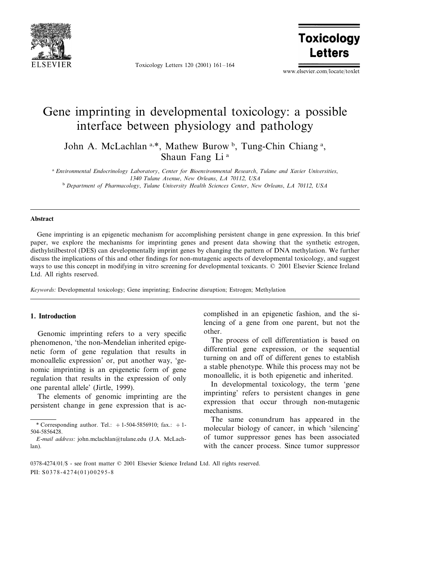

Toxicology Letters 120 (2001) 161–164

**Toxicology Letters** 

www.elsevier.com/locate/toxlet

# Gene imprinting in developmental toxicology: a possible interface between physiology and pathology

John A. McLachlan<sup>a,\*</sup>, Mathew Burow<sup>b</sup>, Tung-Chin Chiang<sup>a</sup>, Shaun Fang Li <sup>a</sup>

<sup>a</sup> *Environmental Endocrinology Laboratory*, *Center for Bioenvironmental Research*, *Tulane and Xavier Universities*, <sup>1340</sup> *Tulane A*6*enue*, *New Orleans*, *LA* <sup>70112</sup>, *USA*  $^{\text{b}}$  *Department of Pharmacology, Tulane University Health Sciences Center, New Orleans, LA 70112, USA* 

# **Abstract**

Gene imprinting is an epigenetic mechanism for accomplishing persistent change in gene expression. In this brief paper, we explore the mechanisms for imprinting genes and present data showing that the synthetic estrogen, diethylstilbestrol (DES) can developmentally imprint genes by changing the pattern of DNA methylation. We further discuss the implications of this and other findings for non-mutagenic aspects of developmental toxicology, and suggest ways to use this concept in modifying in vitro screening for developmental toxicants. © 2001 Elsevier Science Ireland Ltd. All rights reserved.

*Keywords*: Developmental toxicology; Gene imprinting; Endocrine disruption; Estrogen; Methylation

#### **1. Introduction**

Genomic imprinting refers to a very specific phenomenon, 'the non-Mendelian inherited epigenetic form of gene regulation that results in monoallelic expression' or, put another way, 'genomic imprinting is an epigenetic form of gene regulation that results in the expression of only one parental allele' (Jirtle, 1999).

The elements of genomic imprinting are the persistent change in gene expression that is accomplished in an epigenetic fashion, and the silencing of a gene from one parent, but not the other.

The process of cell differentiation is based on differential gene expression, or the sequential turning on and off of different genes to establish a stable phenotype. While this process may not be monoallelic, it is both epigenetic and inherited.

In developmental toxicology, the term 'gene imprinting' refers to persistent changes in gene expression that occur through non-mutagenic mechanisms.

The same conundrum has appeared in the molecular biology of cancer, in which 'silencing' of tumor suppressor genes has been associated with the cancer process. Since tumor suppressor

<sup>\*</sup> Corresponding author. Tel.:  $+1-504-5856910$ ; fax.:  $+1-$ 504-5856428.

*E*-*mail address*: john.mclachlan@tulane.edu (J.A. McLachlan).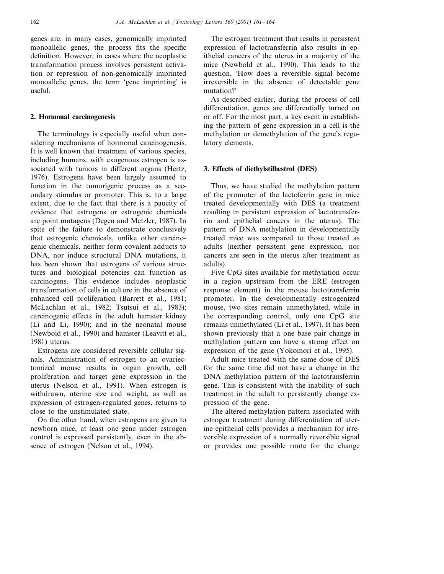genes are, in many cases, genomically imprinted monoallelic genes, the process fits the specific definition. However, in cases where the neoplastic transformation process involves persistent activation or repression of non-genomically imprinted monoallelic genes, the term 'gene imprinting' is useful.

#### **2. Hormonal carcinogenesis**

The terminology is especially useful when considering mechanisms of hormonal carcinogenesis. It is well known that treatment of various species, including humans, with exogenous estrogen is associated with tumors in different organs (Hertz, 1976). Estrogens have been largely assumed to function in the tumorigenic process as a secondary stimulus or promoter. This is, to a large extent, due to the fact that there is a paucity of evidence that estrogens or estrogenic chemicals are point mutagens (Degen and Metzler, 1987). In spite of the failure to demonstrate conclusively that estrogenic chemicals, unlike other carcinogenic chemicals, neither form covalent adducts to DNA, nor induce structural DNA mutations, it has been shown that estrogens of various structures and biological potencies can function as carcinogens. This evidence includes neoplastic transformation of cells in culture in the absence of enhanced cell proliferation (Barrett et al., 1981; McLachlan et al., 1982; Tsutsui et al., 1983); carcinogenic effects in the adult hamster kidney (Li and Li, 1990); and in the neonatal mouse (Newbold et al., 1990) and hamster (Leavitt et al., 1981) uterus.

Estrogens are considered reversible cellular signals. Administration of estrogen to an ovariectomized mouse results in organ growth, cell proliferation and target gene expression in the uterus (Nelson et al., 1991). When estrogen is withdrawn, uterine size and weight, as well as expression of estrogen-regulated genes, returns to close to the unstimulated state.

On the other hand, when estrogens are given to newborn mice, at least one gene under estrogen control is expressed persistently, even in the absence of estrogen (Nelson et al., 1994).

The estrogen treatment that results in persistent expression of lactotransferrin also results in epithelial cancers of the uterus in a majority of the mice (Newbold et al., 1990). This leads to the question, 'How does a reversible signal become irreversible in the absence of detectable gene mutation?'

As described earlier, during the process of cell differentiation, genes are differentially turned on or off. For the most part, a key event in establishing the pattern of gene expression in a cell is the methylation or demethylation of the gene's regulatory elements.

#### **3. Effects of diethylstilbestrol (DES)**

Thus, we have studied the methylation pattern of the promoter of the lactoferrin gene in mice treated developmentally with DES (a treatment resulting in persistent expression of lactotransferrin and epithelial cancers in the uterus). The pattern of DNA methylation in developmentally treated mice was compared to those treated as adults (neither persistent gene expression, nor cancers are seen in the uterus after treatment as adults).

Five CpG sites available for methylation occur in a region upstream from the ERE (estrogen response element) in the mouse lactotransferrin promoter. In the developmentally estrogenized mouse, two sites remain unmethylated, while in the corresponding control, only one CpG site remains unmethylated (Li et al., 1997). It has been shown previously that a one base pair change in methylation pattern can have a strong effect on expression of the gene (Yokomori et al., 1995).

Adult mice treated with the same dose of DES for the same time did not have a change in the DNA methylation pattern of the lactotransferrin gene. This is consistent with the inability of such treatment in the adult to persistently change expression of the gene.

The altered methylation pattern associated with estrogen treatment during differentiation of uterine epithelial cells provides a mechanism for irreversible expression of a normally reversible signal or provides one possible route for the change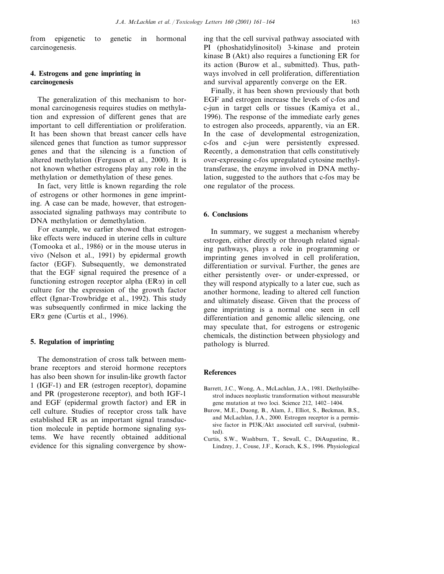from epigenetic to genetic in hormonal carcinogenesis.

## **4. Estrogens and gene imprinting in carcinogenesis**

The generalization of this mechanism to hormonal carcinogenesis requires studies on methylation and expression of different genes that are important to cell differentiation or proliferation. It has been shown that breast cancer cells have silenced genes that function as tumor suppressor genes and that the silencing is a function of altered methylation (Ferguson et al., 2000). It is not known whether estrogens play any role in the methylation or demethylation of these genes.

In fact, very little is known regarding the role of estrogens or other hormones in gene imprinting. A case can be made, however, that estrogenassociated signaling pathways may contribute to DNA methylation or demethylation.

For example, we earlier showed that estrogenlike effects were induced in uterine cells in culture (Tomooka et al., 1986) or in the mouse uterus in vivo (Nelson et al., 1991) by epidermal growth factor (EGF). Subsequently, we demonstrated that the EGF signal required the presence of a functioning estrogen receptor alpha  $(ER\alpha)$  in cell culture for the expression of the growth factor effect (Ignar-Trowbridge et al., 1992). This study was subsequently confirmed in mice lacking the ER $\alpha$  gene (Curtis et al., 1996).

### **5. Regulation of imprinting**

The demonstration of cross talk between membrane receptors and steroid hormone receptors has also been shown for insulin-like growth factor 1 (IGF-1) and ER (estrogen receptor), dopamine and PR (progesterone receptor), and both IGF-1 and EGF (epidermal growth factor) and ER in cell culture. Studies of receptor cross talk have established ER as an important signal transduction molecule in peptide hormone signaling systems. We have recently obtained additional evidence for this signaling convergence by showing that the cell survival pathway associated with PI (phoshatidylinositol) 3-kinase and protein kinase B (Akt) also requires a functioning ER for its action (Burow et al., submitted). Thus, pathways involved in cell proliferation, differentiation and survival apparently converge on the ER.

Finally, it has been shown previously that both EGF and estrogen increase the levels of c-fos and c-jun in target cells or tissues (Kamiya et al., 1996). The response of the immediate early genes to estrogen also proceeds, apparently, via an ER. In the case of developmental estrogenization, c-fos and c-jun were persistently expressed. Recently, a demonstration that cells constitutively over-expressing c-fos upregulated cytosine methyltransferase, the enzyme involved in DNA methylation, suggested to the authors that c-fos may be one regulator of the process.

#### **6. Conclusions**

In summary, we suggest a mechanism whereby estrogen, either directly or through related signaling pathways, plays a role in programming or imprinting genes involved in cell proliferation, differentiation or survival. Further, the genes are either persistently over- or under-expressed, or they will respond atypically to a later cue, such as another hormone, leading to altered cell function and ultimately disease. Given that the process of gene imprinting is a normal one seen in cell differentiation and genomic allelic silencing, one may speculate that, for estrogens or estrogenic chemicals, the distinction between physiology and pathology is blurred.

#### **References**

- Barrett, J.C., Wong, A., McLachlan, J.A., 1981. Diethylstilbestrol induces neoplastic transformation without measurable gene mutation at two loci. Science 212, 1402–1404.
- Burow, M.E., Duong, B., Alam, J., Elliot, S., Beckman, B.S., and McLachlan, J.A., 2000. Estrogen receptor is a permissive factor in PI3K/Akt associated cell survival, (submitted).
- Curtis, S.W., Washburn, T., Sewall, C., DiAugustine, R., Lindzey, J., Couse, J.F., Korach, K.S., 1996. Physiological